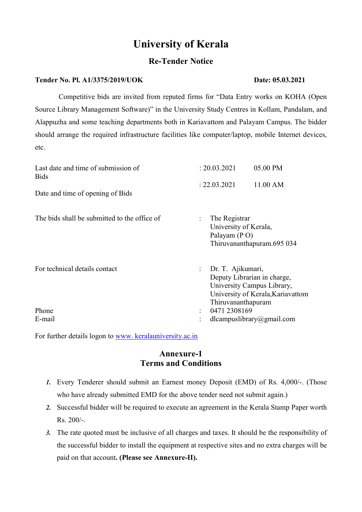# University of Kerala

# Re-Tender Notice

## Tender No. Pl. A1/3375/2019/UOK Date: 05.03.2021

 Competitive bids are invited from reputed firms for "Data Entry works on KOHA (Open Source Library Management Software)" in the University Study Centres in Kollam, Pandalam, and Alappuzha and some teaching departments both in Kariavattom and Palayam Campus. The bidder should arrange the required infrastructure facilities like computer/laptop, mobile Internet devices, etc.

| Last date and time of submission of<br><b>Bids</b><br>Date and time of opening of Bids | : 20.03.2021<br>: 22.03.2021 |                                                                                                                                             | 05.00 PM<br>11.00 AM |  |
|----------------------------------------------------------------------------------------|------------------------------|---------------------------------------------------------------------------------------------------------------------------------------------|----------------------|--|
|                                                                                        |                              |                                                                                                                                             |                      |  |
| The bids shall be submitted to the office of                                           | $\ddot{\phantom{a}}$         | The Registrar<br>University of Kerala,<br>Palayam (PO)<br>Thiruvananthapuram.695 034                                                        |                      |  |
| For technical details contact                                                          |                              | : Dr. T. Ajikumari,<br>Deputy Librarian in charge,<br>University Campus Library,<br>University of Kerala, Kariavattom<br>Thiruvananthapuram |                      |  |
| Phone                                                                                  |                              | 0471 2308169                                                                                                                                |                      |  |
| E-mail                                                                                 |                              | dlcampuslibrary@gmail.com                                                                                                                   |                      |  |

For further details logon to www. keralauniversity.ac.in

# Annexure-1 Terms and Conditions

- 1. Every Tenderer should submit an Earnest money Deposit (EMD) of Rs. 4,000/-. (Those who have already submitted EMD for the above tender need not submit again.)
- 2. Successful bidder will be required to execute an agreement in the Kerala Stamp Paper worth Rs. 200/-.
- 3. The rate quoted must be inclusive of all charges and taxes. It should be the responsibility of the successful bidder to install the equipment at respective sites and no extra charges will be paid on that account. (Please see Annexure-II).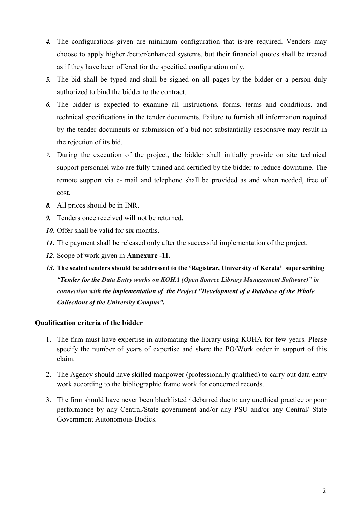- 4. The configurations given are minimum configuration that is/are required. Vendors may choose to apply higher /better/enhanced systems, but their financial quotes shall be treated as if they have been offered for the specified configuration only.
- 5. The bid shall be typed and shall be signed on all pages by the bidder or a person duly authorized to bind the bidder to the contract.
- 6. The bidder is expected to examine all instructions, forms, terms and conditions, and technical specifications in the tender documents. Failure to furnish all information required by the tender documents or submission of a bid not substantially responsive may result in the rejection of its bid.
- 7. During the execution of the project, the bidder shall initially provide on site technical support personnel who are fully trained and certified by the bidder to reduce downtime. The remote support via e- mail and telephone shall be provided as and when needed, free of cost.
- 8. All prices should be in INR.
- 9. Tenders once received will not be returned.
- 10. Offer shall be valid for six months.
- 11. The payment shall be released only after the successful implementation of the project.
- 12. Scope of work given in Annexure -1I.
- 13. The sealed tenders should be addressed to the 'Registrar, University of Kerala' superscribing "Tender for the Data Entry works on KOHA (Open Source Library Management Software)" in connection with the implementation of the Project "Development of a Database of the Whole Collections of the University Campus".

## Qualification criteria of the bidder

- 1. The firm must have expertise in automating the library using KOHA for few years. Please specify the number of years of expertise and share the PO/Work order in support of this claim.
- 2. The Agency should have skilled manpower (professionally qualified) to carry out data entry work according to the bibliographic frame work for concerned records.
- 3. The firm should have never been blacklisted / debarred due to any unethical practice or poor performance by any Central/State government and/or any PSU and/or any Central/ State Government Autonomous Bodies.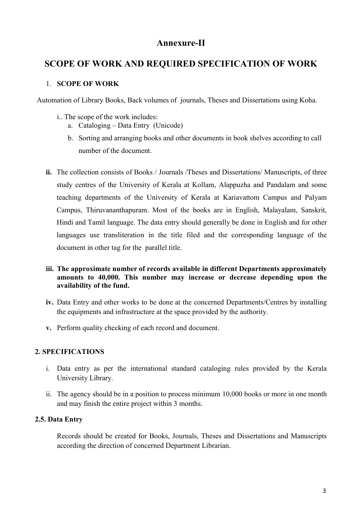# Annexure-II

# SCOPE OF WORK AND REQUIRED SPECIFICATION OF WORK

## 1. SCOPE OF WORK

Automation of Library Books, Back volumes of journals, Theses and Dissertations using Koha.

- i.. The scope of the work includes:
	- a. Cataloging Data Entry (Unicode)
	- b. Sorting and arranging books and other documents in book shelves according to call number of the document.
- ii. The collection consists of Books / Journals /Theses and Dissertations/ Manuscripts, of three study centres of the University of Kerala at Kollam, Alappuzha and Pandalam and some teaching departments of the University of Kerala at Kariavattom Campus and Palyam Campus, Thiruvananthapuram. Most of the books are in English, Malayalam, Sanskrit, Hindi and Tamil language. The data entry should generally be done in English and for other languages use transliteration in the title filed and the corresponding language of the document in other tag for the parallel title.

## iii. The approximate number of records available in different Departments approximately amounts to 40,000. This number may increase or decrease depending upon the availability of the fund.

- iv. Data Entry and other works to be done at the concerned Departments/Centres by installing the equipments and infrastructure at the space provided by the authority.
- v. Perform quality checking of each record and document.

## 2. SPECIFICATIONS

- i. Data entry as per the international standard cataloging rules provided by the Kerala University Library.
- ii. The agency should be in a position to process minimum 10,000 books or more in one month and may finish the entire project within 3 months.

# 2.5. Data Entry

Records should be created for Books, Journals, Theses and Dissertations and Manuscripts according the direction of concerned Department Librarian.